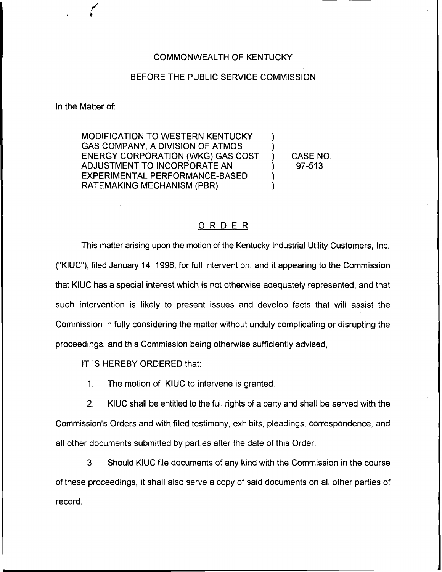## COMMONWEALTH OF KENTUCKY

## BEFORE THE PUBLIC SERVICE COMMISSION

In the Matter of:

MODIFICATION TO WESTERN KENTUCKY GAS COMPANY, A DIVISION OF ATMOS ENERGY CORPORATION (WKG) GAS COST AD JUSTMENT TO INCORPORATE AN EXPERIMENTAL PERFORMANCE-BASED RATEMAKING MECHANISM (PBR)

) CASE NO. ) 97-513

) )

) )

## ORDER

This matter arising upon the motion of the Kentucky Industrial Utility Customers, Inc. ("KIUC"), filed January 14, 1998, for full intervention, and it appearing to the Commission that KIUC has a special interest which is not otherwise adequately represented, and that such intervention is likely to present issues and develop facts that will assist the Commission in fully considering the matter without unduly complicating or disrupting the proceedings, and this Commission being otherwise sufficiently advised,

IT IS HEREBY ORDERED that:

1. The motion of KIUC to intervene is granted.

2. KIUC shall be entitled to the full rights of a party and shall be served with the Commission's Orders and with filed testimony, exhibits, pleadings, correspondence, and all other documents submitted by parties after the date of this Order.

3. Should KIUC file documents of any kind with the Commission in the course of these proceedings, it shall also serve a copy of said documents on all other parties of record.